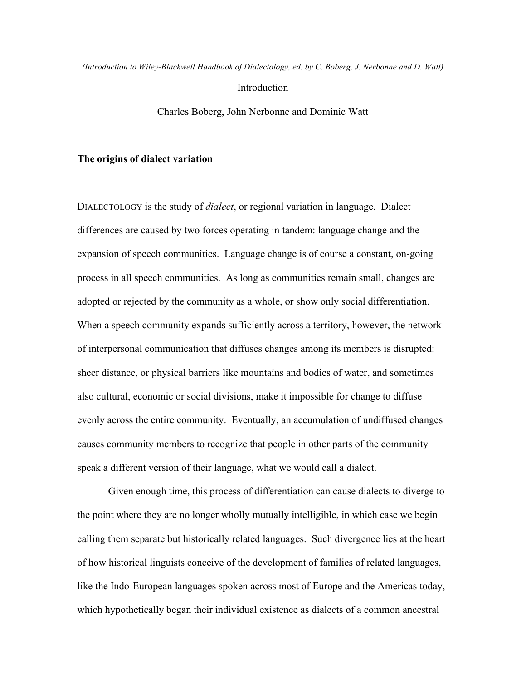Introduction

Charles Boberg, John Nerbonne and Dominic Watt

#### **The origins of dialect variation**

DIALECTOLOGY is the study of *dialect*, or regional variation in language. Dialect differences are caused by two forces operating in tandem: language change and the expansion of speech communities. Language change is of course a constant, on-going process in all speech communities. As long as communities remain small, changes are adopted or rejected by the community as a whole, or show only social differentiation. When a speech community expands sufficiently across a territory, however, the network of interpersonal communication that diffuses changes among its members is disrupted: sheer distance, or physical barriers like mountains and bodies of water, and sometimes also cultural, economic or social divisions, make it impossible for change to diffuse evenly across the entire community. Eventually, an accumulation of undiffused changes causes community members to recognize that people in other parts of the community speak a different version of their language, what we would call a dialect.

Given enough time, this process of differentiation can cause dialects to diverge to the point where they are no longer wholly mutually intelligible, in which case we begin calling them separate but historically related languages. Such divergence lies at the heart of how historical linguists conceive of the development of families of related languages, like the Indo-European languages spoken across most of Europe and the Americas today, which hypothetically began their individual existence as dialects of a common ancestral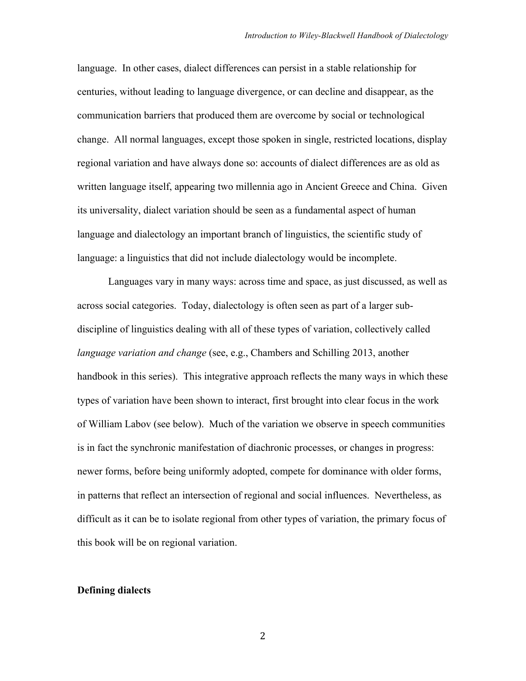language. In other cases, dialect differences can persist in a stable relationship for centuries, without leading to language divergence, or can decline and disappear, as the communication barriers that produced them are overcome by social or technological change. All normal languages, except those spoken in single, restricted locations, display regional variation and have always done so: accounts of dialect differences are as old as written language itself, appearing two millennia ago in Ancient Greece and China. Given its universality, dialect variation should be seen as a fundamental aspect of human language and dialectology an important branch of linguistics, the scientific study of language: a linguistics that did not include dialectology would be incomplete.

Languages vary in many ways: across time and space, as just discussed, as well as across social categories. Today, dialectology is often seen as part of a larger subdiscipline of linguistics dealing with all of these types of variation, collectively called *language variation and change* (see, e.g., Chambers and Schilling 2013, another handbook in this series). This integrative approach reflects the many ways in which these types of variation have been shown to interact, first brought into clear focus in the work of William Labov (see below). Much of the variation we observe in speech communities is in fact the synchronic manifestation of diachronic processes, or changes in progress: newer forms, before being uniformly adopted, compete for dominance with older forms, in patterns that reflect an intersection of regional and social influences. Nevertheless, as difficult as it can be to isolate regional from other types of variation, the primary focus of this book will be on regional variation.

### **Defining dialects**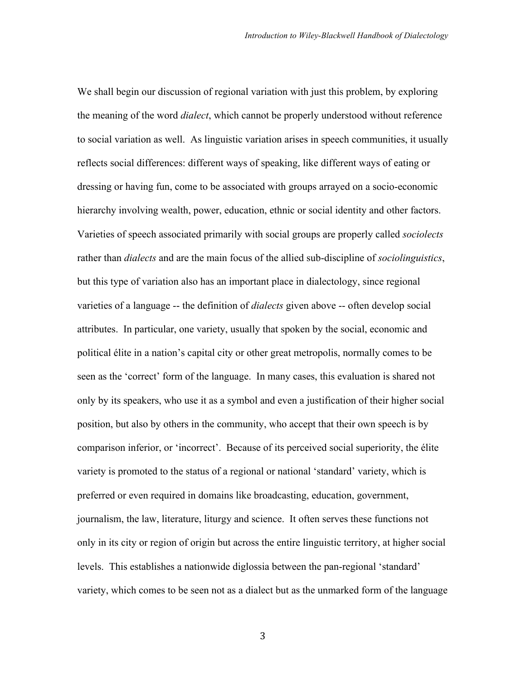We shall begin our discussion of regional variation with just this problem, by exploring the meaning of the word *dialect*, which cannot be properly understood without reference to social variation as well. As linguistic variation arises in speech communities, it usually reflects social differences: different ways of speaking, like different ways of eating or dressing or having fun, come to be associated with groups arrayed on a socio-economic hierarchy involving wealth, power, education, ethnic or social identity and other factors. Varieties of speech associated primarily with social groups are properly called *sociolects* rather than *dialects* and are the main focus of the allied sub-discipline of *sociolinguistics*, but this type of variation also has an important place in dialectology, since regional varieties of a language -- the definition of *dialects* given above -- often develop social attributes. In particular, one variety, usually that spoken by the social, economic and political élite in a nation's capital city or other great metropolis, normally comes to be seen as the 'correct' form of the language. In many cases, this evaluation is shared not only by its speakers, who use it as a symbol and even a justification of their higher social position, but also by others in the community, who accept that their own speech is by comparison inferior, or 'incorrect'. Because of its perceived social superiority, the élite variety is promoted to the status of a regional or national 'standard' variety, which is preferred or even required in domains like broadcasting, education, government, journalism, the law, literature, liturgy and science. It often serves these functions not only in its city or region of origin but across the entire linguistic territory, at higher social levels. This establishes a nationwide diglossia between the pan-regional 'standard' variety, which comes to be seen not as a dialect but as the unmarked form of the language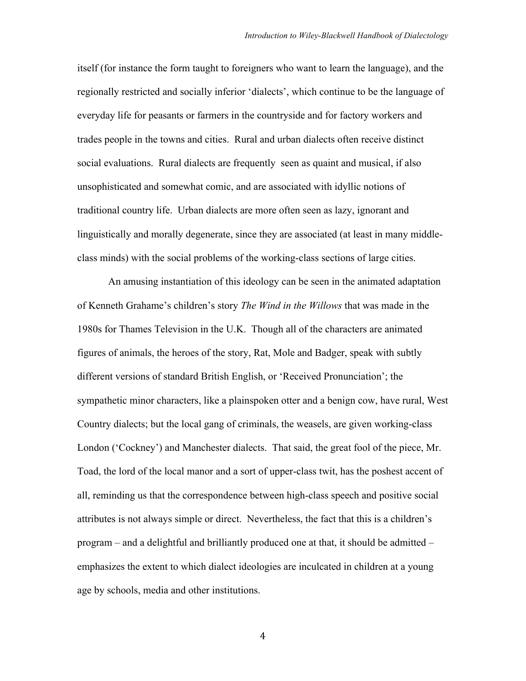itself (for instance the form taught to foreigners who want to learn the language), and the regionally restricted and socially inferior 'dialects', which continue to be the language of everyday life for peasants or farmers in the countryside and for factory workers and trades people in the towns and cities. Rural and urban dialects often receive distinct social evaluations. Rural dialects are frequently seen as quaint and musical, if also unsophisticated and somewhat comic, and are associated with idyllic notions of traditional country life. Urban dialects are more often seen as lazy, ignorant and linguistically and morally degenerate, since they are associated (at least in many middleclass minds) with the social problems of the working-class sections of large cities.

An amusing instantiation of this ideology can be seen in the animated adaptation of Kenneth Grahame's children's story *The Wind in the Willows* that was made in the 1980s for Thames Television in the U.K. Though all of the characters are animated figures of animals, the heroes of the story, Rat, Mole and Badger, speak with subtly different versions of standard British English, or 'Received Pronunciation'; the sympathetic minor characters, like a plainspoken otter and a benign cow, have rural, West Country dialects; but the local gang of criminals, the weasels, are given working-class London ('Cockney') and Manchester dialects. That said, the great fool of the piece, Mr. Toad, the lord of the local manor and a sort of upper-class twit, has the poshest accent of all, reminding us that the correspondence between high-class speech and positive social attributes is not always simple or direct. Nevertheless, the fact that this is a children's program – and a delightful and brilliantly produced one at that, it should be admitted – emphasizes the extent to which dialect ideologies are inculcated in children at a young age by schools, media and other institutions.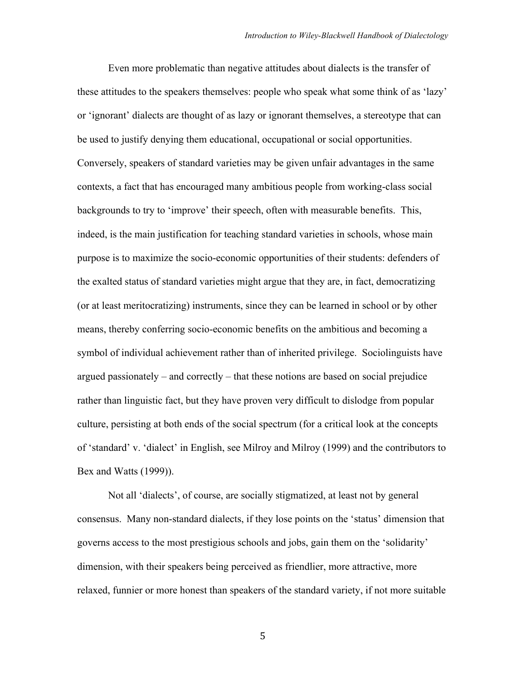Even more problematic than negative attitudes about dialects is the transfer of these attitudes to the speakers themselves: people who speak what some think of as 'lazy' or 'ignorant' dialects are thought of as lazy or ignorant themselves, a stereotype that can be used to justify denying them educational, occupational or social opportunities. Conversely, speakers of standard varieties may be given unfair advantages in the same contexts, a fact that has encouraged many ambitious people from working-class social backgrounds to try to 'improve' their speech, often with measurable benefits. This, indeed, is the main justification for teaching standard varieties in schools, whose main purpose is to maximize the socio-economic opportunities of their students: defenders of the exalted status of standard varieties might argue that they are, in fact, democratizing (or at least meritocratizing) instruments, since they can be learned in school or by other means, thereby conferring socio-economic benefits on the ambitious and becoming a symbol of individual achievement rather than of inherited privilege. Sociolinguists have argued passionately – and correctly – that these notions are based on social prejudice rather than linguistic fact, but they have proven very difficult to dislodge from popular culture, persisting at both ends of the social spectrum (for a critical look at the concepts of 'standard' v. 'dialect' in English, see Milroy and Milroy (1999) and the contributors to Bex and Watts (1999)).

Not all 'dialects', of course, are socially stigmatized, at least not by general consensus. Many non-standard dialects, if they lose points on the 'status' dimension that governs access to the most prestigious schools and jobs, gain them on the 'solidarity' dimension, with their speakers being perceived as friendlier, more attractive, more relaxed, funnier or more honest than speakers of the standard variety, if not more suitable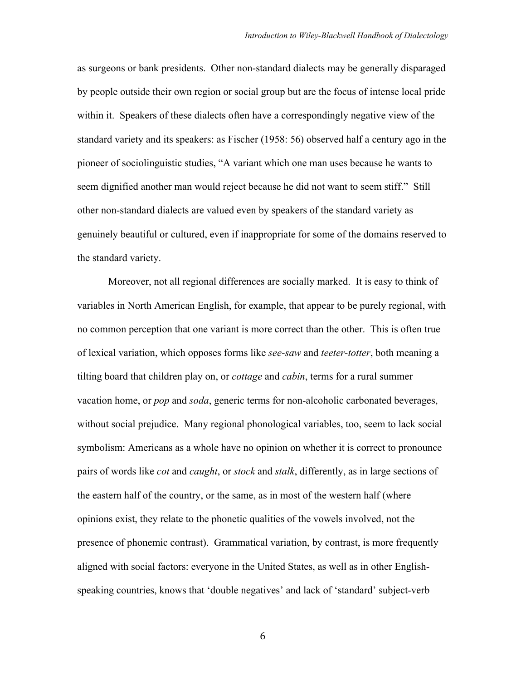as surgeons or bank presidents. Other non-standard dialects may be generally disparaged by people outside their own region or social group but are the focus of intense local pride within it. Speakers of these dialects often have a correspondingly negative view of the standard variety and its speakers: as Fischer (1958: 56) observed half a century ago in the pioneer of sociolinguistic studies, "A variant which one man uses because he wants to seem dignified another man would reject because he did not want to seem stiff." Still other non-standard dialects are valued even by speakers of the standard variety as genuinely beautiful or cultured, even if inappropriate for some of the domains reserved to the standard variety.

Moreover, not all regional differences are socially marked. It is easy to think of variables in North American English, for example, that appear to be purely regional, with no common perception that one variant is more correct than the other. This is often true of lexical variation, which opposes forms like *see-saw* and *teeter-totter*, both meaning a tilting board that children play on, or *cottage* and *cabin*, terms for a rural summer vacation home, or *pop* and *soda*, generic terms for non-alcoholic carbonated beverages, without social prejudice. Many regional phonological variables, too, seem to lack social symbolism: Americans as a whole have no opinion on whether it is correct to pronounce pairs of words like *cot* and *caught*, or *stock* and *stalk*, differently, as in large sections of the eastern half of the country, or the same, as in most of the western half (where opinions exist, they relate to the phonetic qualities of the vowels involved, not the presence of phonemic contrast). Grammatical variation, by contrast, is more frequently aligned with social factors: everyone in the United States, as well as in other Englishspeaking countries, knows that 'double negatives' and lack of 'standard' subject-verb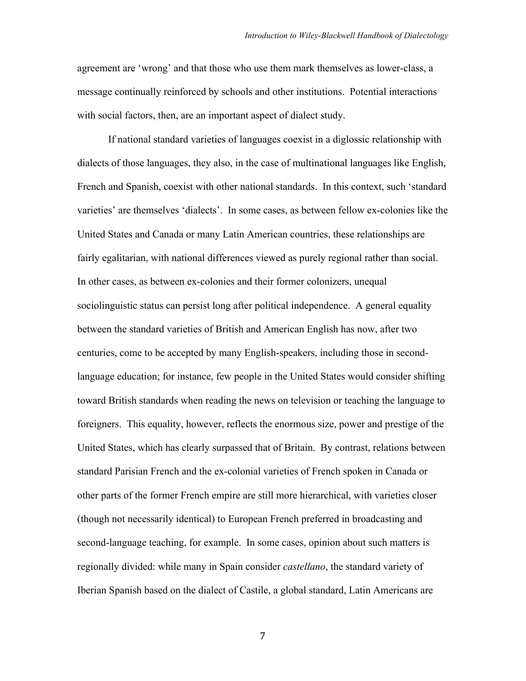agreement are 'wrong' and that those who use them mark themselves as lower-class, a message continually reinforced by schools and other institutions. Potential interactions with social factors, then, are an important aspect of dialect study.

If national standard varieties of languages coexist in a diglossic relationship with dialects of those languages, they also, in the case of multinational languages like English, French and Spanish, coexist with other national standards. In this context, such 'standard varieties' are themselves 'dialects'. In some cases, as between fellow ex-colonies like the United States and Canada or many Latin American countries, these relationships are fairly egalitarian, with national differences viewed as purely regional rather than social. In other cases, as between ex-colonies and their former colonizers, unequal sociolinguistic status can persist long after political independence. A general equality between the standard varieties of British and American English has now, after two centuries, come to be accepted by many English-speakers, including those in secondlanguage education; for instance, few people in the United States would consider shifting toward British standards when reading the news on television or teaching the language to foreigners. This equality, however, reflects the enormous size, power and prestige of the United States, which has clearly surpassed that of Britain. By contrast, relations between standard Parisian French and the ex-colonial varieties of French spoken in Canada or other parts of the former French empire are still more hierarchical, with varieties closer (though not necessarily identical) to European French preferred in broadcasting and second-language teaching, for example. In some cases, opinion about such matters is regionally divided: while many in Spain consider *castellano*, the standard variety of Iberian Spanish based on the dialect of Castile, a global standard, Latin Americans are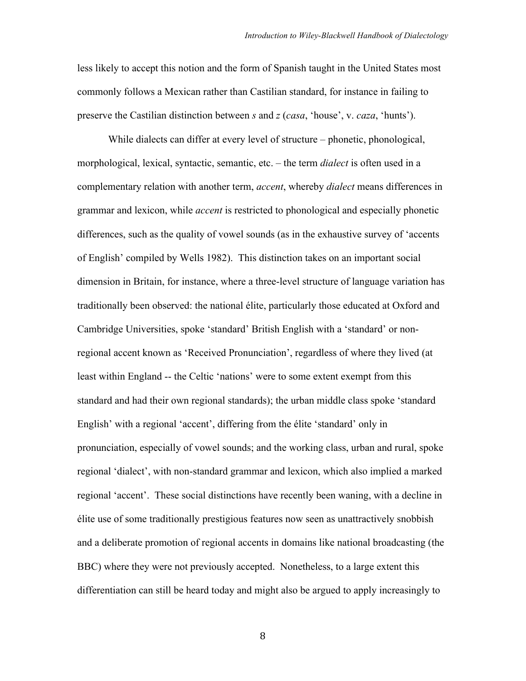less likely to accept this notion and the form of Spanish taught in the United States most commonly follows a Mexican rather than Castilian standard, for instance in failing to preserve the Castilian distinction between *s* and *z* (*casa*, 'house', v. *caza*, 'hunts').

While dialects can differ at every level of structure – phonetic, phonological, morphological, lexical, syntactic, semantic, etc. – the term *dialect* is often used in a complementary relation with another term, *accent*, whereby *dialect* means differences in grammar and lexicon, while *accent* is restricted to phonological and especially phonetic differences, such as the quality of vowel sounds (as in the exhaustive survey of 'accents of English' compiled by Wells 1982). This distinction takes on an important social dimension in Britain, for instance, where a three-level structure of language variation has traditionally been observed: the national élite, particularly those educated at Oxford and Cambridge Universities, spoke 'standard' British English with a 'standard' or nonregional accent known as 'Received Pronunciation', regardless of where they lived (at least within England -- the Celtic 'nations' were to some extent exempt from this standard and had their own regional standards); the urban middle class spoke 'standard English' with a regional 'accent', differing from the élite 'standard' only in pronunciation, especially of vowel sounds; and the working class, urban and rural, spoke regional 'dialect', with non-standard grammar and lexicon, which also implied a marked regional 'accent'. These social distinctions have recently been waning, with a decline in élite use of some traditionally prestigious features now seen as unattractively snobbish and a deliberate promotion of regional accents in domains like national broadcasting (the BBC) where they were not previously accepted. Nonetheless, to a large extent this differentiation can still be heard today and might also be argued to apply increasingly to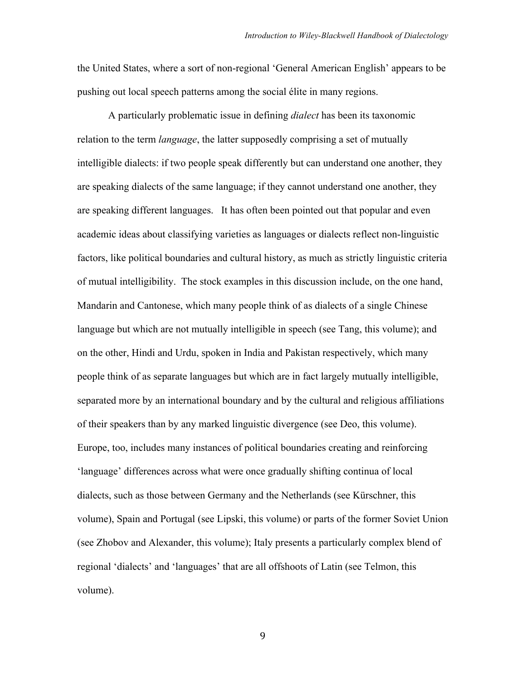the United States, where a sort of non-regional 'General American English' appears to be pushing out local speech patterns among the social élite in many regions.

A particularly problematic issue in defining *dialect* has been its taxonomic relation to the term *language*, the latter supposedly comprising a set of mutually intelligible dialects: if two people speak differently but can understand one another, they are speaking dialects of the same language; if they cannot understand one another, they are speaking different languages. It has often been pointed out that popular and even academic ideas about classifying varieties as languages or dialects reflect non-linguistic factors, like political boundaries and cultural history, as much as strictly linguistic criteria of mutual intelligibility. The stock examples in this discussion include, on the one hand, Mandarin and Cantonese, which many people think of as dialects of a single Chinese language but which are not mutually intelligible in speech (see Tang, this volume); and on the other, Hindi and Urdu, spoken in India and Pakistan respectively, which many people think of as separate languages but which are in fact largely mutually intelligible, separated more by an international boundary and by the cultural and religious affiliations of their speakers than by any marked linguistic divergence (see Deo, this volume). Europe, too, includes many instances of political boundaries creating and reinforcing 'language' differences across what were once gradually shifting continua of local dialects, such as those between Germany and the Netherlands (see Kürschner, this volume), Spain and Portugal (see Lipski, this volume) or parts of the former Soviet Union (see Zhobov and Alexander, this volume); Italy presents a particularly complex blend of regional 'dialects' and 'languages' that are all offshoots of Latin (see Telmon, this volume).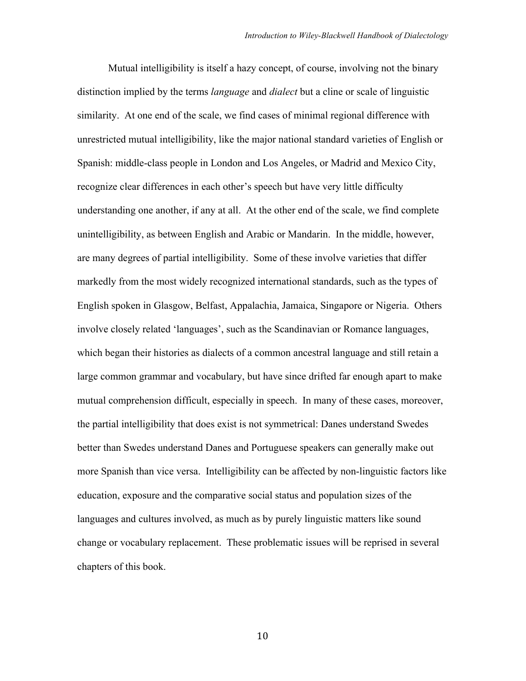Mutual intelligibility is itself a hazy concept, of course, involving not the binary distinction implied by the terms *language* and *dialect* but a cline or scale of linguistic similarity. At one end of the scale, we find cases of minimal regional difference with unrestricted mutual intelligibility, like the major national standard varieties of English or Spanish: middle-class people in London and Los Angeles, or Madrid and Mexico City, recognize clear differences in each other's speech but have very little difficulty understanding one another, if any at all. At the other end of the scale, we find complete unintelligibility, as between English and Arabic or Mandarin. In the middle, however, are many degrees of partial intelligibility. Some of these involve varieties that differ markedly from the most widely recognized international standards, such as the types of English spoken in Glasgow, Belfast, Appalachia, Jamaica, Singapore or Nigeria. Others involve closely related 'languages', such as the Scandinavian or Romance languages, which began their histories as dialects of a common ancestral language and still retain a large common grammar and vocabulary, but have since drifted far enough apart to make mutual comprehension difficult, especially in speech. In many of these cases, moreover, the partial intelligibility that does exist is not symmetrical: Danes understand Swedes better than Swedes understand Danes and Portuguese speakers can generally make out more Spanish than vice versa. Intelligibility can be affected by non-linguistic factors like education, exposure and the comparative social status and population sizes of the languages and cultures involved, as much as by purely linguistic matters like sound change or vocabulary replacement. These problematic issues will be reprised in several chapters of this book.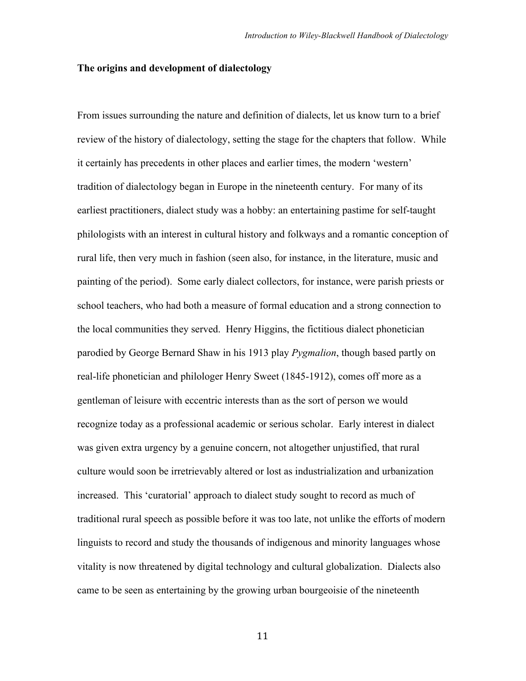## **The origins and development of dialectology**

From issues surrounding the nature and definition of dialects, let us know turn to a brief review of the history of dialectology, setting the stage for the chapters that follow. While it certainly has precedents in other places and earlier times, the modern 'western' tradition of dialectology began in Europe in the nineteenth century. For many of its earliest practitioners, dialect study was a hobby: an entertaining pastime for self-taught philologists with an interest in cultural history and folkways and a romantic conception of rural life, then very much in fashion (seen also, for instance, in the literature, music and painting of the period). Some early dialect collectors, for instance, were parish priests or school teachers, who had both a measure of formal education and a strong connection to the local communities they served. Henry Higgins, the fictitious dialect phonetician parodied by George Bernard Shaw in his 1913 play *Pygmalion*, though based partly on real-life phonetician and philologer Henry Sweet (1845-1912), comes off more as a gentleman of leisure with eccentric interests than as the sort of person we would recognize today as a professional academic or serious scholar. Early interest in dialect was given extra urgency by a genuine concern, not altogether unjustified, that rural culture would soon be irretrievably altered or lost as industrialization and urbanization increased. This 'curatorial' approach to dialect study sought to record as much of traditional rural speech as possible before it was too late, not unlike the efforts of modern linguists to record and study the thousands of indigenous and minority languages whose vitality is now threatened by digital technology and cultural globalization. Dialects also came to be seen as entertaining by the growing urban bourgeoisie of the nineteenth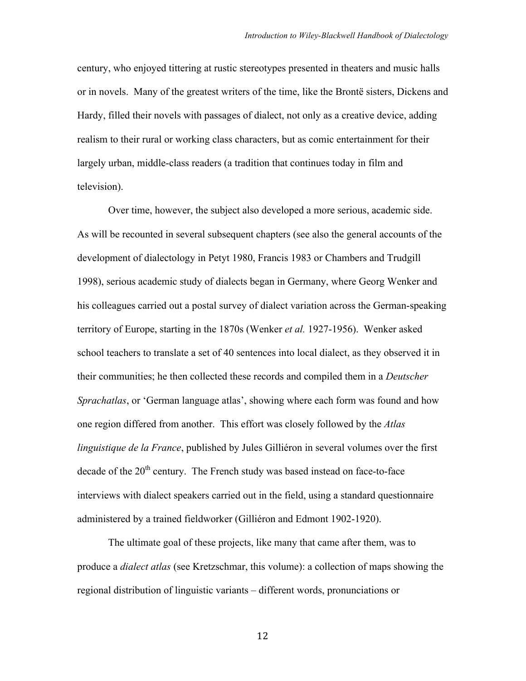century, who enjoyed tittering at rustic stereotypes presented in theaters and music halls or in novels. Many of the greatest writers of the time, like the Brontë sisters, Dickens and Hardy, filled their novels with passages of dialect, not only as a creative device, adding realism to their rural or working class characters, but as comic entertainment for their largely urban, middle-class readers (a tradition that continues today in film and television).

Over time, however, the subject also developed a more serious, academic side. As will be recounted in several subsequent chapters (see also the general accounts of the development of dialectology in Petyt 1980, Francis 1983 or Chambers and Trudgill 1998), serious academic study of dialects began in Germany, where Georg Wenker and his colleagues carried out a postal survey of dialect variation across the German-speaking territory of Europe, starting in the 1870s (Wenker *et al.* 1927-1956). Wenker asked school teachers to translate a set of 40 sentences into local dialect, as they observed it in their communities; he then collected these records and compiled them in a *Deutscher Sprachatlas*, or 'German language atlas', showing where each form was found and how one region differed from another. This effort was closely followed by the *Atlas linguistique de la France*, published by Jules Gilliéron in several volumes over the first decade of the  $20<sup>th</sup>$  century. The French study was based instead on face-to-face interviews with dialect speakers carried out in the field, using a standard questionnaire administered by a trained fieldworker (Gilliéron and Edmont 1902-1920).

The ultimate goal of these projects, like many that came after them, was to produce a *dialect atlas* (see Kretzschmar, this volume): a collection of maps showing the regional distribution of linguistic variants – different words, pronunciations or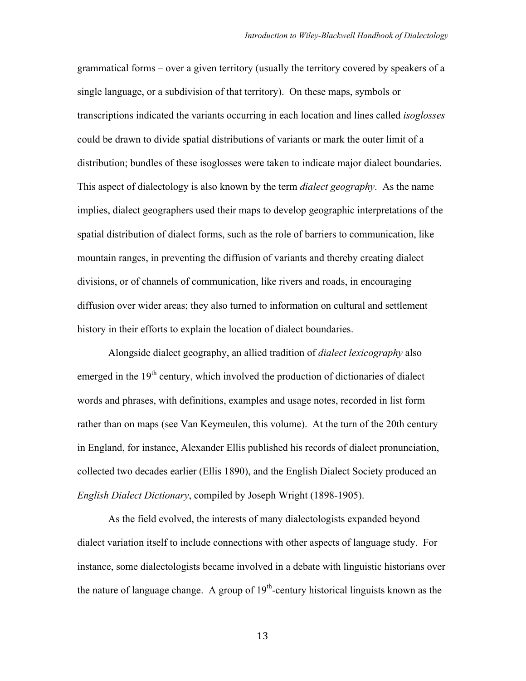grammatical forms – over a given territory (usually the territory covered by speakers of a single language, or a subdivision of that territory). On these maps, symbols or transcriptions indicated the variants occurring in each location and lines called *isoglosses* could be drawn to divide spatial distributions of variants or mark the outer limit of a distribution; bundles of these isoglosses were taken to indicate major dialect boundaries. This aspect of dialectology is also known by the term *dialect geography*. As the name implies, dialect geographers used their maps to develop geographic interpretations of the spatial distribution of dialect forms, such as the role of barriers to communication, like mountain ranges, in preventing the diffusion of variants and thereby creating dialect divisions, or of channels of communication, like rivers and roads, in encouraging diffusion over wider areas; they also turned to information on cultural and settlement history in their efforts to explain the location of dialect boundaries.

Alongside dialect geography, an allied tradition of *dialect lexicography* also emerged in the  $19<sup>th</sup>$  century, which involved the production of dictionaries of dialect words and phrases, with definitions, examples and usage notes, recorded in list form rather than on maps (see Van Keymeulen, this volume). At the turn of the 20th century in England, for instance, Alexander Ellis published his records of dialect pronunciation, collected two decades earlier (Ellis 1890), and the English Dialect Society produced an *English Dialect Dictionary*, compiled by Joseph Wright (1898-1905).

As the field evolved, the interests of many dialectologists expanded beyond dialect variation itself to include connections with other aspects of language study. For instance, some dialectologists became involved in a debate with linguistic historians over the nature of language change. A group of  $19<sup>th</sup>$ -century historical linguists known as the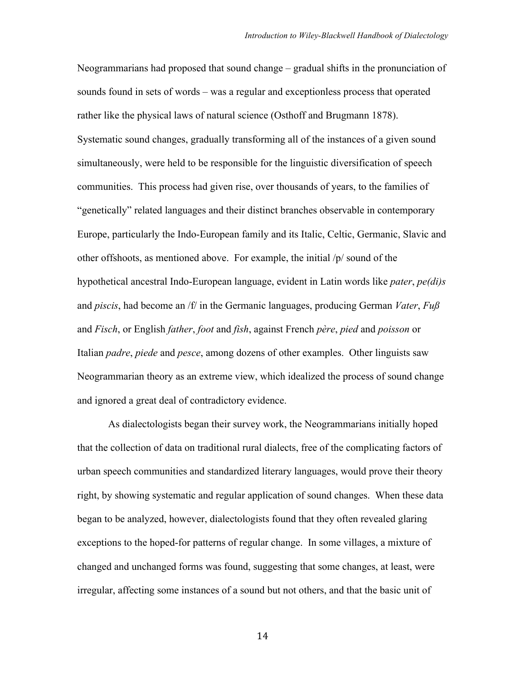Neogrammarians had proposed that sound change – gradual shifts in the pronunciation of sounds found in sets of words – was a regular and exceptionless process that operated rather like the physical laws of natural science (Osthoff and Brugmann 1878). Systematic sound changes, gradually transforming all of the instances of a given sound simultaneously, were held to be responsible for the linguistic diversification of speech communities. This process had given rise, over thousands of years, to the families of "genetically" related languages and their distinct branches observable in contemporary Europe, particularly the Indo-European family and its Italic, Celtic, Germanic, Slavic and other offshoots, as mentioned above. For example, the initial /p/ sound of the hypothetical ancestral Indo-European language, evident in Latin words like *pater*, *pe(di)s* and *piscis*, had become an /f/ in the Germanic languages, producing German *Vater*, *Fuß* and *Fisch*, or English *father*, *foot* and *fish*, against French *père*, *pied* and *poisson* or Italian *padre*, *piede* and *pesce*, among dozens of other examples. Other linguists saw Neogrammarian theory as an extreme view, which idealized the process of sound change and ignored a great deal of contradictory evidence.

As dialectologists began their survey work, the Neogrammarians initially hoped that the collection of data on traditional rural dialects, free of the complicating factors of urban speech communities and standardized literary languages, would prove their theory right, by showing systematic and regular application of sound changes. When these data began to be analyzed, however, dialectologists found that they often revealed glaring exceptions to the hoped-for patterns of regular change. In some villages, a mixture of changed and unchanged forms was found, suggesting that some changes, at least, were irregular, affecting some instances of a sound but not others, and that the basic unit of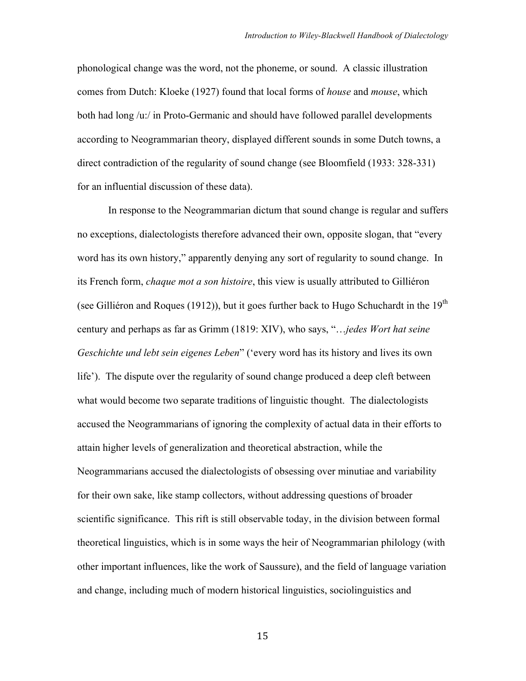phonological change was the word, not the phoneme, or sound. A classic illustration comes from Dutch: Kloeke (1927) found that local forms of *house* and *mouse*, which both had long /u:/ in Proto-Germanic and should have followed parallel developments according to Neogrammarian theory, displayed different sounds in some Dutch towns, a direct contradiction of the regularity of sound change (see Bloomfield (1933: 328-331) for an influential discussion of these data).

In response to the Neogrammarian dictum that sound change is regular and suffers no exceptions, dialectologists therefore advanced their own, opposite slogan, that "every word has its own history," apparently denying any sort of regularity to sound change. In its French form, *chaque mot a son histoire*, this view is usually attributed to Gilliéron (see Gilliéron and Roques (1912)), but it goes further back to Hugo Schuchardt in the  $19<sup>th</sup>$ century and perhaps as far as Grimm (1819: XIV), who says, "…*jedes Wort hat seine Geschichte und lebt sein eigenes Leben*" ('every word has its history and lives its own life'). The dispute over the regularity of sound change produced a deep cleft between what would become two separate traditions of linguistic thought. The dialectologists accused the Neogrammarians of ignoring the complexity of actual data in their efforts to attain higher levels of generalization and theoretical abstraction, while the Neogrammarians accused the dialectologists of obsessing over minutiae and variability for their own sake, like stamp collectors, without addressing questions of broader scientific significance. This rift is still observable today, in the division between formal theoretical linguistics, which is in some ways the heir of Neogrammarian philology (with other important influences, like the work of Saussure), and the field of language variation and change, including much of modern historical linguistics, sociolinguistics and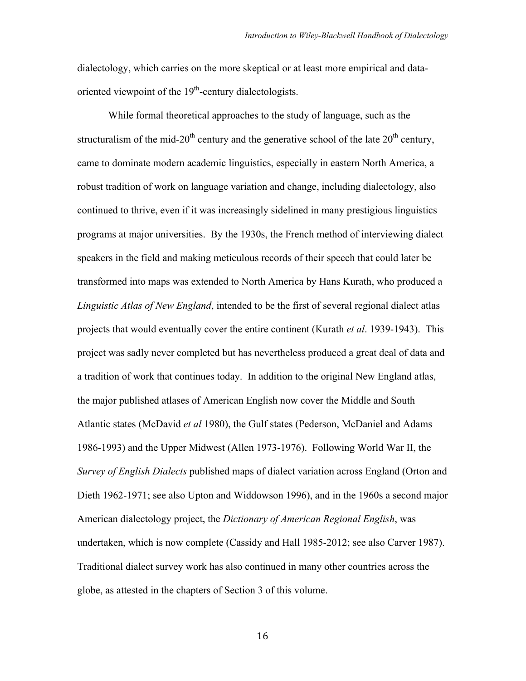dialectology, which carries on the more skeptical or at least more empirical and dataoriented viewpoint of the  $19<sup>th</sup>$ -century dialectologists.

While formal theoretical approaches to the study of language, such as the structuralism of the mid-20<sup>th</sup> century and the generative school of the late  $20<sup>th</sup>$  century, came to dominate modern academic linguistics, especially in eastern North America, a robust tradition of work on language variation and change, including dialectology, also continued to thrive, even if it was increasingly sidelined in many prestigious linguistics programs at major universities. By the 1930s, the French method of interviewing dialect speakers in the field and making meticulous records of their speech that could later be transformed into maps was extended to North America by Hans Kurath, who produced a *Linguistic Atlas of New England*, intended to be the first of several regional dialect atlas projects that would eventually cover the entire continent (Kurath *et al*. 1939-1943). This project was sadly never completed but has nevertheless produced a great deal of data and a tradition of work that continues today. In addition to the original New England atlas, the major published atlases of American English now cover the Middle and South Atlantic states (McDavid *et al* 1980), the Gulf states (Pederson, McDaniel and Adams 1986-1993) and the Upper Midwest (Allen 1973-1976). Following World War II, the *Survey of English Dialects* published maps of dialect variation across England (Orton and Dieth 1962-1971; see also Upton and Widdowson 1996), and in the 1960s a second major American dialectology project, the *Dictionary of American Regional English*, was undertaken, which is now complete (Cassidy and Hall 1985-2012; see also Carver 1987). Traditional dialect survey work has also continued in many other countries across the globe, as attested in the chapters of Section 3 of this volume.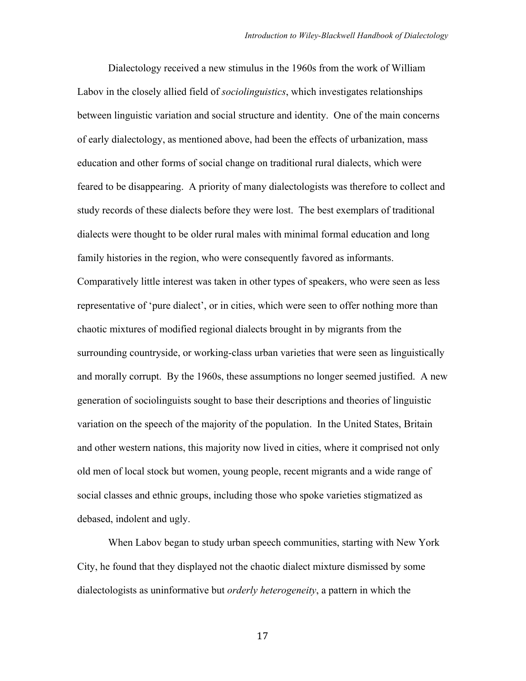Dialectology received a new stimulus in the 1960s from the work of William Labov in the closely allied field of *sociolinguistics*, which investigates relationships between linguistic variation and social structure and identity. One of the main concerns of early dialectology, as mentioned above, had been the effects of urbanization, mass education and other forms of social change on traditional rural dialects, which were feared to be disappearing. A priority of many dialectologists was therefore to collect and study records of these dialects before they were lost. The best exemplars of traditional dialects were thought to be older rural males with minimal formal education and long family histories in the region, who were consequently favored as informants. Comparatively little interest was taken in other types of speakers, who were seen as less representative of 'pure dialect', or in cities, which were seen to offer nothing more than chaotic mixtures of modified regional dialects brought in by migrants from the surrounding countryside, or working-class urban varieties that were seen as linguistically and morally corrupt. By the 1960s, these assumptions no longer seemed justified. A new generation of sociolinguists sought to base their descriptions and theories of linguistic variation on the speech of the majority of the population. In the United States, Britain and other western nations, this majority now lived in cities, where it comprised not only old men of local stock but women, young people, recent migrants and a wide range of social classes and ethnic groups, including those who spoke varieties stigmatized as debased, indolent and ugly.

When Labov began to study urban speech communities, starting with New York City, he found that they displayed not the chaotic dialect mixture dismissed by some dialectologists as uninformative but *orderly heterogeneity*, a pattern in which the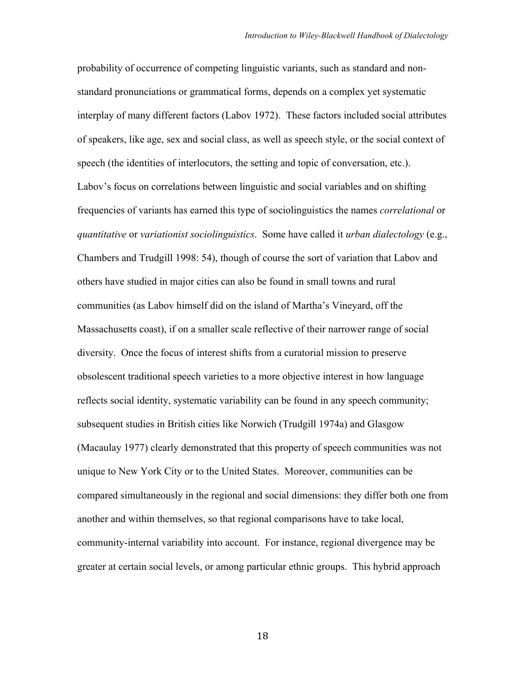probability of occurrence of competing linguistic variants, such as standard and nonstandard pronunciations or grammatical forms, depends on a complex yet systematic interplay of many different factors (Labov 1972). These factors included social attributes of speakers, like age, sex and social class, as well as speech style, or the social context of speech (the identities of interlocutors, the setting and topic of conversation, etc.). Labov's focus on correlations between linguistic and social variables and on shifting frequencies of variants has earned this type of sociolinguistics the names *correlational* or *quantitative* or *variationist sociolinguistics*. Some have called it *urban dialectology* (e.g., Chambers and Trudgill 1998: 54), though of course the sort of variation that Labov and others have studied in major cities can also be found in small towns and rural communities (as Labov himself did on the island of Martha's Vineyard, off the Massachusetts coast), if on a smaller scale reflective of their narrower range of social diversity. Once the focus of interest shifts from a curatorial mission to preserve obsolescent traditional speech varieties to a more objective interest in how language reflects social identity, systematic variability can be found in any speech community; subsequent studies in British cities like Norwich (Trudgill 1974a) and Glasgow (Macaulay 1977) clearly demonstrated that this property of speech communities was not unique to New York City or to the United States. Moreover, communities can be compared simultaneously in the regional and social dimensions: they differ both one from another and within themselves, so that regional comparisons have to take local, community-internal variability into account. For instance, regional divergence may be greater at certain social levels, or among particular ethnic groups. This hybrid approach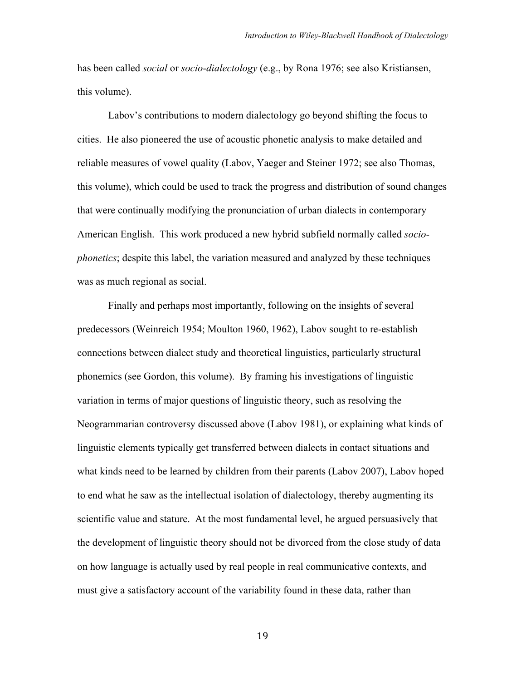has been called *social* or *socio-dialectology* (e.g., by Rona 1976; see also Kristiansen, this volume).

Labov's contributions to modern dialectology go beyond shifting the focus to cities. He also pioneered the use of acoustic phonetic analysis to make detailed and reliable measures of vowel quality (Labov, Yaeger and Steiner 1972; see also Thomas, this volume), which could be used to track the progress and distribution of sound changes that were continually modifying the pronunciation of urban dialects in contemporary American English. This work produced a new hybrid subfield normally called *sociophonetics*; despite this label, the variation measured and analyzed by these techniques was as much regional as social.

Finally and perhaps most importantly, following on the insights of several predecessors (Weinreich 1954; Moulton 1960, 1962), Labov sought to re-establish connections between dialect study and theoretical linguistics, particularly structural phonemics (see Gordon, this volume). By framing his investigations of linguistic variation in terms of major questions of linguistic theory, such as resolving the Neogrammarian controversy discussed above (Labov 1981), or explaining what kinds of linguistic elements typically get transferred between dialects in contact situations and what kinds need to be learned by children from their parents (Labov 2007), Labov hoped to end what he saw as the intellectual isolation of dialectology, thereby augmenting its scientific value and stature. At the most fundamental level, he argued persuasively that the development of linguistic theory should not be divorced from the close study of data on how language is actually used by real people in real communicative contexts, and must give a satisfactory account of the variability found in these data, rather than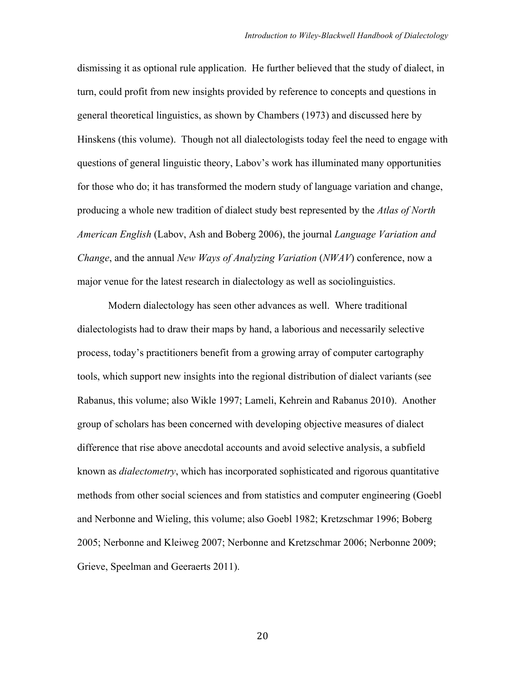dismissing it as optional rule application. He further believed that the study of dialect, in turn, could profit from new insights provided by reference to concepts and questions in general theoretical linguistics, as shown by Chambers (1973) and discussed here by Hinskens (this volume). Though not all dialectologists today feel the need to engage with questions of general linguistic theory, Labov's work has illuminated many opportunities for those who do; it has transformed the modern study of language variation and change, producing a whole new tradition of dialect study best represented by the *Atlas of North American English* (Labov, Ash and Boberg 2006), the journal *Language Variation and Change*, and the annual *New Ways of Analyzing Variation* (*NWAV*) conference, now a major venue for the latest research in dialectology as well as sociolinguistics.

Modern dialectology has seen other advances as well. Where traditional dialectologists had to draw their maps by hand, a laborious and necessarily selective process, today's practitioners benefit from a growing array of computer cartography tools, which support new insights into the regional distribution of dialect variants (see Rabanus, this volume; also Wikle 1997; Lameli, Kehrein and Rabanus 2010). Another group of scholars has been concerned with developing objective measures of dialect difference that rise above anecdotal accounts and avoid selective analysis, a subfield known as *dialectometry*, which has incorporated sophisticated and rigorous quantitative methods from other social sciences and from statistics and computer engineering (Goebl and Nerbonne and Wieling, this volume; also Goebl 1982; Kretzschmar 1996; Boberg 2005; Nerbonne and Kleiweg 2007; Nerbonne and Kretzschmar 2006; Nerbonne 2009; Grieve, Speelman and Geeraerts 2011).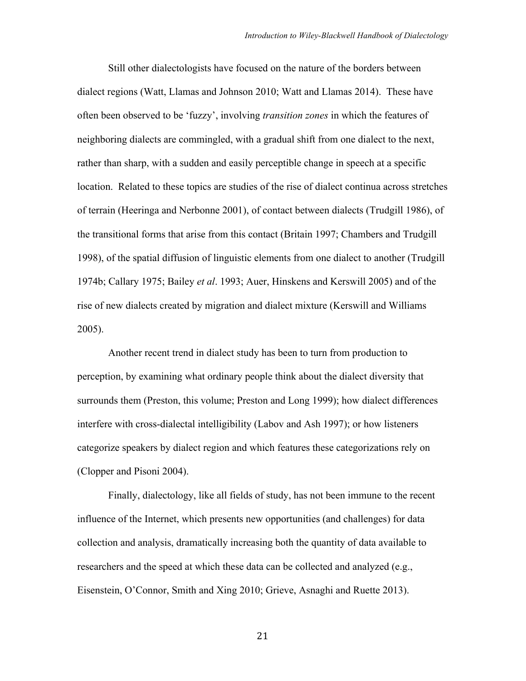Still other dialectologists have focused on the nature of the borders between dialect regions (Watt, Llamas and Johnson 2010; Watt and Llamas 2014). These have often been observed to be 'fuzzy', involving *transition zones* in which the features of neighboring dialects are commingled, with a gradual shift from one dialect to the next, rather than sharp, with a sudden and easily perceptible change in speech at a specific location. Related to these topics are studies of the rise of dialect continua across stretches of terrain (Heeringa and Nerbonne 2001), of contact between dialects (Trudgill 1986), of the transitional forms that arise from this contact (Britain 1997; Chambers and Trudgill 1998), of the spatial diffusion of linguistic elements from one dialect to another (Trudgill 1974b; Callary 1975; Bailey *et al*. 1993; Auer, Hinskens and Kerswill 2005) and of the rise of new dialects created by migration and dialect mixture (Kerswill and Williams 2005).

Another recent trend in dialect study has been to turn from production to perception, by examining what ordinary people think about the dialect diversity that surrounds them (Preston, this volume; Preston and Long 1999); how dialect differences interfere with cross-dialectal intelligibility (Labov and Ash 1997); or how listeners categorize speakers by dialect region and which features these categorizations rely on (Clopper and Pisoni 2004).

Finally, dialectology, like all fields of study, has not been immune to the recent influence of the Internet, which presents new opportunities (and challenges) for data collection and analysis, dramatically increasing both the quantity of data available to researchers and the speed at which these data can be collected and analyzed (e.g., Eisenstein, O'Connor, Smith and Xing 2010; Grieve, Asnaghi and Ruette 2013).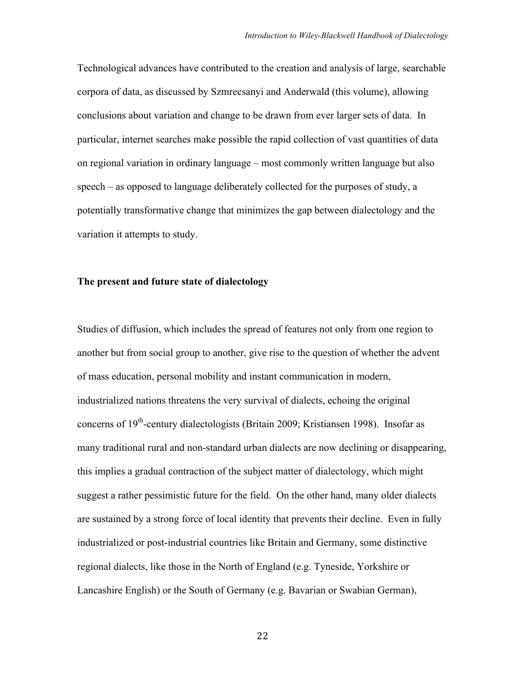Technological advances have contributed to the creation and analysis of large, searchable corpora of data, as discussed by Szmrecsanyi and Anderwald (this volume), allowing conclusions about variation and change to be drawn from ever larger sets of data. In particular, internet searches make possible the rapid collection of vast quantities of data on regional variation in ordinary language – most commonly written language but also speech – as opposed to language deliberately collected for the purposes of study, a potentially transformative change that minimizes the gap between dialectology and the variation it attempts to study.

## **The present and future state of dialectology**

Studies of diffusion, which includes the spread of features not only from one region to another but from social group to another, give rise to the question of whether the advent of mass education, personal mobility and instant communication in modern, industrialized nations threatens the very survival of dialects, echoing the original concerns of 19th-century dialectologists (Britain 2009; Kristiansen 1998). Insofar as many traditional rural and non-standard urban dialects are now declining or disappearing, this implies a gradual contraction of the subject matter of dialectology, which might suggest a rather pessimistic future for the field. On the other hand, many older dialects are sustained by a strong force of local identity that prevents their decline. Even in fully industrialized or post-industrial countries like Britain and Germany, some distinctive regional dialects, like those in the North of England (e.g. Tyneside, Yorkshire or Lancashire English) or the South of Germany (e.g. Bavarian or Swabian German),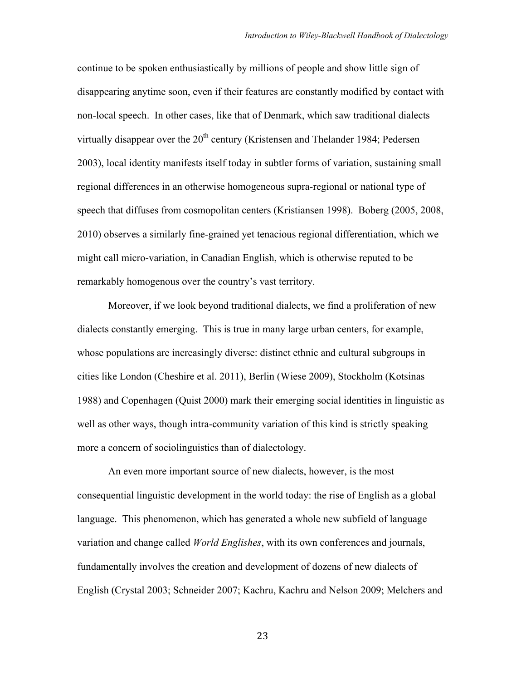continue to be spoken enthusiastically by millions of people and show little sign of disappearing anytime soon, even if their features are constantly modified by contact with non-local speech. In other cases, like that of Denmark, which saw traditional dialects virtually disappear over the  $20<sup>th</sup>$  century (Kristensen and Thelander 1984; Pedersen 2003), local identity manifests itself today in subtler forms of variation, sustaining small regional differences in an otherwise homogeneous supra-regional or national type of speech that diffuses from cosmopolitan centers (Kristiansen 1998). Boberg (2005, 2008, 2010) observes a similarly fine-grained yet tenacious regional differentiation, which we might call micro-variation, in Canadian English, which is otherwise reputed to be remarkably homogenous over the country's vast territory.

Moreover, if we look beyond traditional dialects, we find a proliferation of new dialects constantly emerging. This is true in many large urban centers, for example, whose populations are increasingly diverse: distinct ethnic and cultural subgroups in cities like London (Cheshire et al. 2011), Berlin (Wiese 2009), Stockholm (Kotsinas 1988) and Copenhagen (Quist 2000) mark their emerging social identities in linguistic as well as other ways, though intra-community variation of this kind is strictly speaking more a concern of sociolinguistics than of dialectology.

An even more important source of new dialects, however, is the most consequential linguistic development in the world today: the rise of English as a global language. This phenomenon, which has generated a whole new subfield of language variation and change called *World Englishes*, with its own conferences and journals, fundamentally involves the creation and development of dozens of new dialects of English (Crystal 2003; Schneider 2007; Kachru, Kachru and Nelson 2009; Melchers and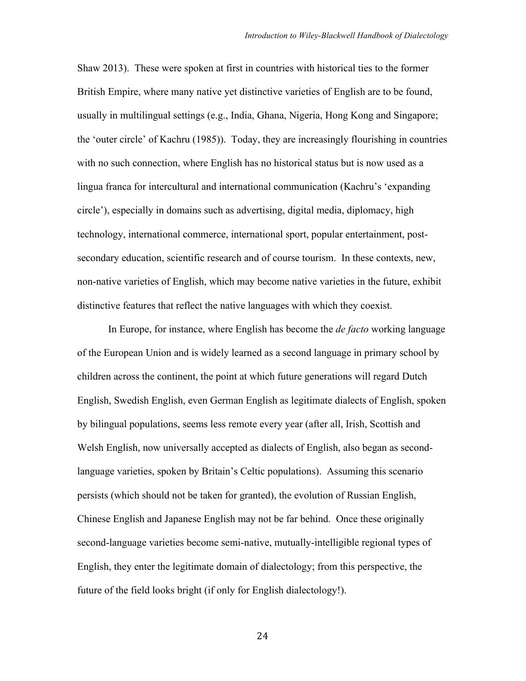Shaw 2013). These were spoken at first in countries with historical ties to the former British Empire, where many native yet distinctive varieties of English are to be found, usually in multilingual settings (e.g., India, Ghana, Nigeria, Hong Kong and Singapore; the 'outer circle' of Kachru (1985)). Today, they are increasingly flourishing in countries with no such connection, where English has no historical status but is now used as a lingua franca for intercultural and international communication (Kachru's 'expanding circle'), especially in domains such as advertising, digital media, diplomacy, high technology, international commerce, international sport, popular entertainment, postsecondary education, scientific research and of course tourism. In these contexts, new, non-native varieties of English, which may become native varieties in the future, exhibit distinctive features that reflect the native languages with which they coexist.

In Europe, for instance, where English has become the *de facto* working language of the European Union and is widely learned as a second language in primary school by children across the continent, the point at which future generations will regard Dutch English, Swedish English, even German English as legitimate dialects of English, spoken by bilingual populations, seems less remote every year (after all, Irish, Scottish and Welsh English, now universally accepted as dialects of English, also began as secondlanguage varieties, spoken by Britain's Celtic populations). Assuming this scenario persists (which should not be taken for granted), the evolution of Russian English, Chinese English and Japanese English may not be far behind. Once these originally second-language varieties become semi-native, mutually-intelligible regional types of English, they enter the legitimate domain of dialectology; from this perspective, the future of the field looks bright (if only for English dialectology!).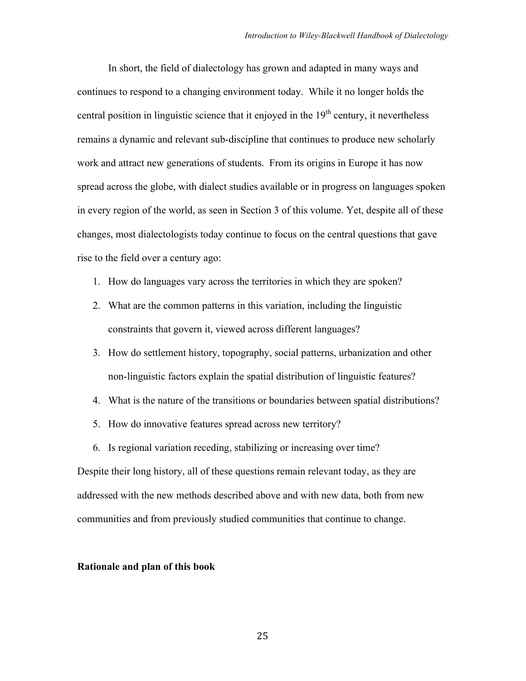In short, the field of dialectology has grown and adapted in many ways and continues to respond to a changing environment today. While it no longer holds the central position in linguistic science that it enjoyed in the  $19<sup>th</sup>$  century, it nevertheless remains a dynamic and relevant sub-discipline that continues to produce new scholarly work and attract new generations of students. From its origins in Europe it has now spread across the globe, with dialect studies available or in progress on languages spoken in every region of the world, as seen in Section 3 of this volume. Yet, despite all of these changes, most dialectologists today continue to focus on the central questions that gave rise to the field over a century ago:

- 1. How do languages vary across the territories in which they are spoken?
- 2. What are the common patterns in this variation, including the linguistic constraints that govern it, viewed across different languages?
- 3. How do settlement history, topography, social patterns, urbanization and other non-linguistic factors explain the spatial distribution of linguistic features?
- 4. What is the nature of the transitions or boundaries between spatial distributions?
- 5. How do innovative features spread across new territory?
- 6. Is regional variation receding, stabilizing or increasing over time?

Despite their long history, all of these questions remain relevant today, as they are addressed with the new methods described above and with new data, both from new communities and from previously studied communities that continue to change.

## **Rationale and plan of this book**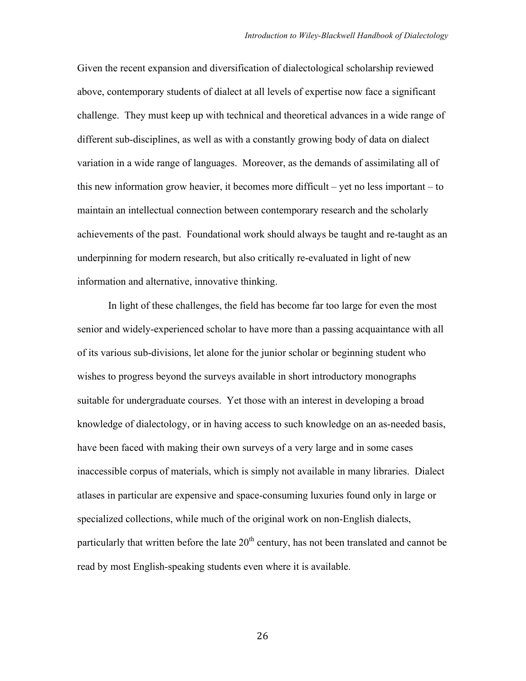Given the recent expansion and diversification of dialectological scholarship reviewed above, contemporary students of dialect at all levels of expertise now face a significant challenge. They must keep up with technical and theoretical advances in a wide range of different sub-disciplines, as well as with a constantly growing body of data on dialect variation in a wide range of languages. Moreover, as the demands of assimilating all of this new information grow heavier, it becomes more difficult – yet no less important – to maintain an intellectual connection between contemporary research and the scholarly achievements of the past. Foundational work should always be taught and re-taught as an underpinning for modern research, but also critically re-evaluated in light of new information and alternative, innovative thinking.

In light of these challenges, the field has become far too large for even the most senior and widely-experienced scholar to have more than a passing acquaintance with all of its various sub-divisions, let alone for the junior scholar or beginning student who wishes to progress beyond the surveys available in short introductory monographs suitable for undergraduate courses. Yet those with an interest in developing a broad knowledge of dialectology, or in having access to such knowledge on an as-needed basis, have been faced with making their own surveys of a very large and in some cases inaccessible corpus of materials, which is simply not available in many libraries. Dialect atlases in particular are expensive and space-consuming luxuries found only in large or specialized collections, while much of the original work on non-English dialects, particularly that written before the late  $20<sup>th</sup>$  century, has not been translated and cannot be read by most English-speaking students even where it is available.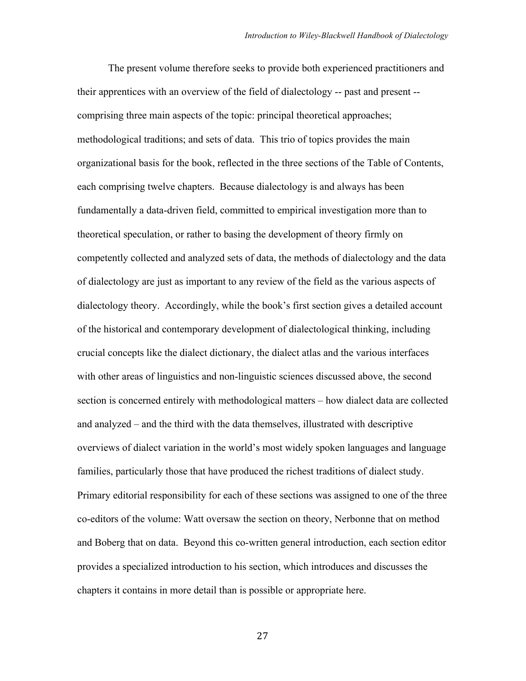The present volume therefore seeks to provide both experienced practitioners and their apprentices with an overview of the field of dialectology -- past and present - comprising three main aspects of the topic: principal theoretical approaches; methodological traditions; and sets of data. This trio of topics provides the main organizational basis for the book, reflected in the three sections of the Table of Contents, each comprising twelve chapters. Because dialectology is and always has been fundamentally a data-driven field, committed to empirical investigation more than to theoretical speculation, or rather to basing the development of theory firmly on competently collected and analyzed sets of data, the methods of dialectology and the data of dialectology are just as important to any review of the field as the various aspects of dialectology theory. Accordingly, while the book's first section gives a detailed account of the historical and contemporary development of dialectological thinking, including crucial concepts like the dialect dictionary, the dialect atlas and the various interfaces with other areas of linguistics and non-linguistic sciences discussed above, the second section is concerned entirely with methodological matters – how dialect data are collected and analyzed – and the third with the data themselves, illustrated with descriptive overviews of dialect variation in the world's most widely spoken languages and language families, particularly those that have produced the richest traditions of dialect study. Primary editorial responsibility for each of these sections was assigned to one of the three co-editors of the volume: Watt oversaw the section on theory, Nerbonne that on method and Boberg that on data. Beyond this co-written general introduction, each section editor provides a specialized introduction to his section, which introduces and discusses the chapters it contains in more detail than is possible or appropriate here.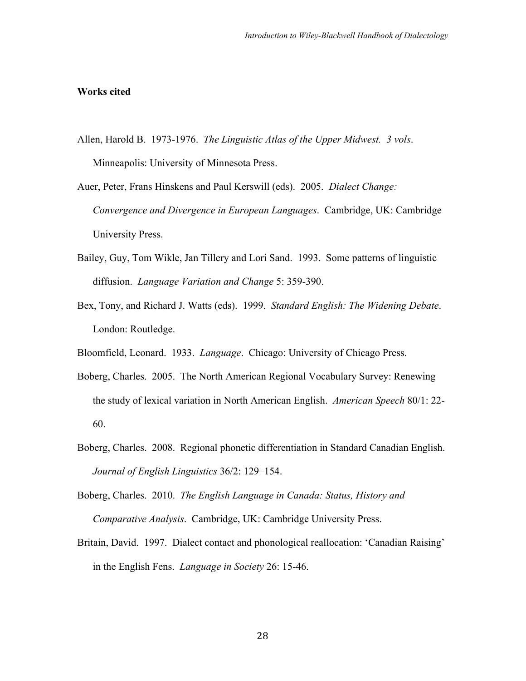# **Works cited**

Allen, Harold B. 1973-1976. *The Linguistic Atlas of the Upper Midwest. 3 vols*. Minneapolis: University of Minnesota Press.

Auer, Peter, Frans Hinskens and Paul Kerswill (eds). 2005. *Dialect Change: Convergence and Divergence in European Languages*. Cambridge, UK: Cambridge University Press.

- Bailey, Guy, Tom Wikle, Jan Tillery and Lori Sand. 1993. Some patterns of linguistic diffusion. *Language Variation and Change* 5: 359-390.
- Bex, Tony, and Richard J. Watts (eds). 1999. *Standard English: The Widening Debate*. London: Routledge.
- Bloomfield, Leonard. 1933. *Language*. Chicago: University of Chicago Press.
- Boberg, Charles. 2005. The North American Regional Vocabulary Survey: Renewing the study of lexical variation in North American English. *American Speech* 80/1: 22- 60.
- Boberg, Charles. 2008. Regional phonetic differentiation in Standard Canadian English. *Journal of English Linguistics* 36/2: 129–154.
- Boberg, Charles. 2010. *The English Language in Canada: Status, History and Comparative Analysis*. Cambridge, UK: Cambridge University Press.
- Britain, David. 1997. Dialect contact and phonological reallocation: 'Canadian Raising' in the English Fens. *Language in Society* 26: 15-46.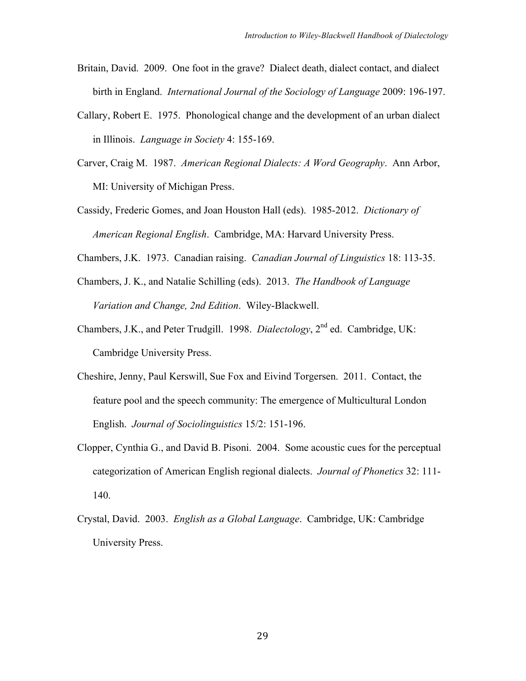- Britain, David. 2009. One foot in the grave? Dialect death, dialect contact, and dialect birth in England. *International Journal of the Sociology of Language* 2009: 196-197.
- Callary, Robert E. 1975. Phonological change and the development of an urban dialect in Illinois. *Language in Society* 4: 155-169.
- Carver, Craig M. 1987. *American Regional Dialects: A Word Geography*. Ann Arbor, MI: University of Michigan Press.
- Cassidy, Frederic Gomes, and Joan Houston Hall (eds). 1985-2012. *Dictionary of American Regional English*. Cambridge, MA: Harvard University Press.
- Chambers, J.K. 1973. Canadian raising. *Canadian Journal of Linguistics* 18: 113-35.
- Chambers, J. K., and Natalie Schilling (eds). 2013. *The Handbook of Language Variation and Change, 2nd Edition*. Wiley-Blackwell.
- Chambers, J.K., and Peter Trudgill. 1998. *Dialectology*, 2nd ed. Cambridge, UK: Cambridge University Press.
- Cheshire, Jenny, Paul Kerswill, Sue Fox and Eivind Torgersen. 2011. Contact, the feature pool and the speech community: The emergence of Multicultural London English. *Journal of Sociolinguistics* 15/2: 151-196.
- Clopper, Cynthia G., and David B. Pisoni. 2004. Some acoustic cues for the perceptual categorization of American English regional dialects. *Journal of Phonetics* 32: 111- 140.
- Crystal, David. 2003. *English as a Global Language*. Cambridge, UK: Cambridge University Press.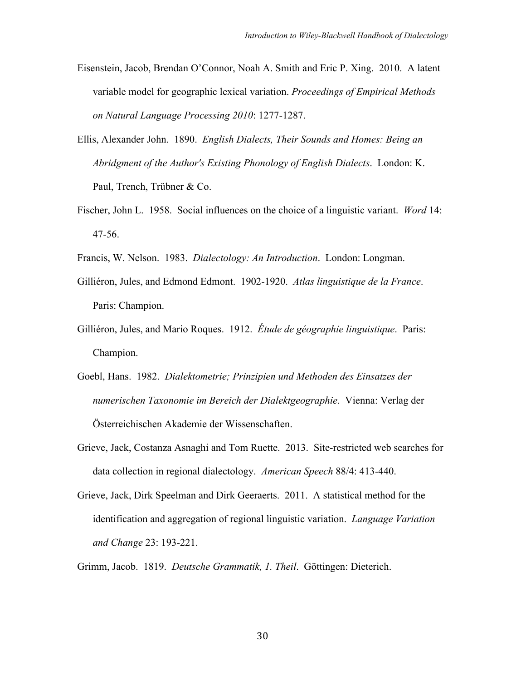- Eisenstein, Jacob, Brendan O'Connor, Noah A. Smith and Eric P. Xing. 2010. A latent variable model for geographic lexical variation. *Proceedings of Empirical Methods on Natural Language Processing 2010*: 1277-1287.
- Ellis, Alexander John. 1890. *English Dialects, Their Sounds and Homes: Being an Abridgment of the Author's Existing Phonology of English Dialects*. London: K. Paul, Trench, Trübner & Co.
- Fischer, John L. 1958. Social influences on the choice of a linguistic variant. *Word* 14: 47-56.
- Francis, W. Nelson. 1983. *Dialectology: An Introduction*. London: Longman.
- Gilliéron, Jules, and Edmond Edmont. 1902-1920. *Atlas linguistique de la France*. Paris: Champion.
- Gilliéron, Jules, and Mario Roques. 1912. *Étude de géographie linguistique*. Paris: Champion.
- Goebl, Hans. 1982. *Dialektometrie; Prinzipien und Methoden des Einsatzes der numerischen Taxonomie im Bereich der Dialektgeographie*. Vienna: Verlag der Österreichischen Akademie der Wissenschaften.
- Grieve, Jack, Costanza Asnaghi and Tom Ruette. 2013. Site-restricted web searches for data collection in regional dialectology. *American Speech* 88/4: 413-440.
- Grieve, Jack, Dirk Speelman and Dirk Geeraerts. 2011. A statistical method for the identification and aggregation of regional linguistic variation. *Language Variation and Change* 23: 193-221.

Grimm, Jacob. 1819. *Deutsche Grammatik, 1. Theil*. Göttingen: Dieterich.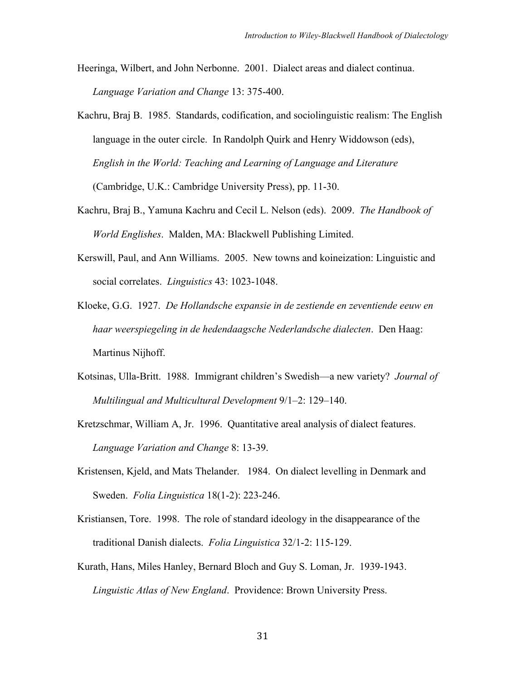- Heeringa, Wilbert, and John Nerbonne. 2001. Dialect areas and dialect continua. *Language Variation and Change* 13: 375-400.
- Kachru, Braj B. 1985. Standards, codification, and sociolinguistic realism: The English language in the outer circle. In Randolph Quirk and Henry Widdowson (eds), *English in the World: Teaching and Learning of Language and Literature* (Cambridge, U.K.: Cambridge University Press), pp. 11-30.
- Kachru, Braj B., Yamuna Kachru and Cecil L. Nelson (eds). 2009. *The Handbook of World Englishes*. Malden, MA: Blackwell Publishing Limited.
- Kerswill, Paul, and Ann Williams. 2005. New towns and koineization: Linguistic and social correlates. *Linguistics* 43: 1023-1048.
- Kloeke, G.G. 1927. *De Hollandsche expansie in de zestiende en zeventiende eeuw en haar weerspiegeling in de hedendaagsche Nederlandsche dialecten*. Den Haag: Martinus Nijhoff.
- Kotsinas, Ulla-Britt. 1988. Immigrant children's Swedish—a new variety? *Journal of Multilingual and Multicultural Development* 9/1–2: 129–140.
- Kretzschmar, William A, Jr. 1996. Quantitative areal analysis of dialect features. *Language Variation and Change* 8: 13-39.
- Kristensen, Kjeld, and Mats Thelander. 1984. On dialect levelling in Denmark and Sweden. *Folia Linguistica* 18(1-2): 223-246.
- Kristiansen, Tore. 1998. The role of standard ideology in the disappearance of the traditional Danish dialects. *Folia Linguistica* 32/1-2: 115-129.
- Kurath, Hans, Miles Hanley, Bernard Bloch and Guy S. Loman, Jr. 1939-1943. *Linguistic Atlas of New England*. Providence: Brown University Press.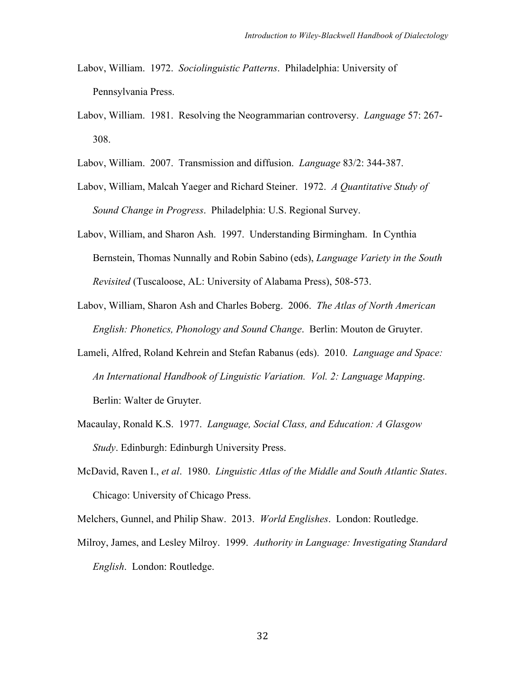- Labov, William. 1972. *Sociolinguistic Patterns*. Philadelphia: University of Pennsylvania Press.
- Labov, William. 1981. Resolving the Neogrammarian controversy. *Language* 57: 267- 308.
- Labov, William. 2007. Transmission and diffusion. *Language* 83/2: 344-387.
- Labov, William, Malcah Yaeger and Richard Steiner. 1972. *A Quantitative Study of Sound Change in Progress*. Philadelphia: U.S. Regional Survey.
- Labov, William, and Sharon Ash. 1997. Understanding Birmingham. In Cynthia Bernstein, Thomas Nunnally and Robin Sabino (eds), *Language Variety in the South Revisited* (Tuscaloose, AL: University of Alabama Press), 508-573.
- Labov, William, Sharon Ash and Charles Boberg. 2006. *The Atlas of North American English: Phonetics, Phonology and Sound Change*. Berlin: Mouton de Gruyter.
- Lameli, Alfred, Roland Kehrein and Stefan Rabanus (eds). 2010. *Language and Space: An International Handbook of Linguistic Variation. Vol. 2: Language Mapping*. Berlin: Walter de Gruyter.
- Macaulay, Ronald K.S. 1977. *Language, Social Class, and Education: A Glasgow Study*. Edinburgh: Edinburgh University Press.
- McDavid, Raven I., *et al*. 1980. *Linguistic Atlas of the Middle and South Atlantic States*. Chicago: University of Chicago Press.
- Melchers, Gunnel, and Philip Shaw. 2013. *World Englishes*. London: Routledge.
- Milroy, James, and Lesley Milroy. 1999. *Authority in Language: Investigating Standard English*. London: Routledge.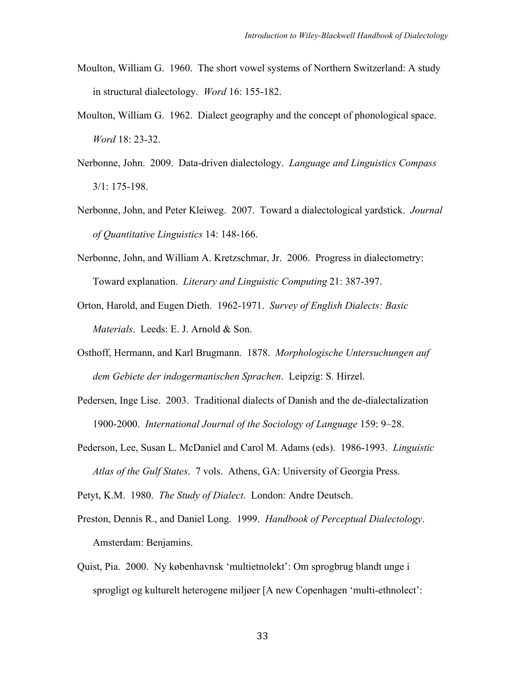- Moulton, William G. 1960. The short vowel systems of Northern Switzerland: A study in structural dialectology. *Word* 16: 155-182.
- Moulton, William G. 1962. Dialect geography and the concept of phonological space. *Word* 18: 23-32.
- Nerbonne, John. 2009. Data-driven dialectology. *Language and Linguistics Compass* 3/1: 175-198.
- Nerbonne, John, and Peter Kleiweg. 2007. Toward a dialectological yardstick. *Journal of Quantitative Linguistics* 14: 148-166.
- Nerbonne, John, and William A. Kretzschmar, Jr. 2006. Progress in dialectometry: Toward explanation. *Literary and Linguistic Computing* 21: 387-397.
- Orton, Harold, and Eugen Dieth. 1962-1971. *Survey of English Dialects: Basic Materials*. Leeds: E. J. Arnold & Son.
- Osthoff, Hermann, and Karl Brugmann. 1878. *Morphologische Untersuchungen auf dem Gebiete der indogermanischen Sprachen*. Leipzig: S. Hirzel.
- Pedersen, Inge Lise. 2003. Traditional dialects of Danish and the de-dialectalization 1900-2000. *International Journal of the Sociology of Language* 159: 9–28.
- Pederson, Lee, Susan L. McDaniel and Carol M. Adams (eds). 1986-1993. *Linguistic Atlas of the Gulf States*. 7 vols. Athens, GA: University of Georgia Press.

Petyt, K.M. 1980. *The Study of Dialect*. London: Andre Deutsch.

- Preston, Dennis R., and Daniel Long. 1999. *Handbook of Perceptual Dialectology*. Amsterdam: Benjamins.
- Quist, Pia. 2000. Ny københavnsk 'multietnolekt': Om sprogbrug blandt unge i sprogligt og kulturelt heterogene miljøer [A new Copenhagen 'multi-ethnolect':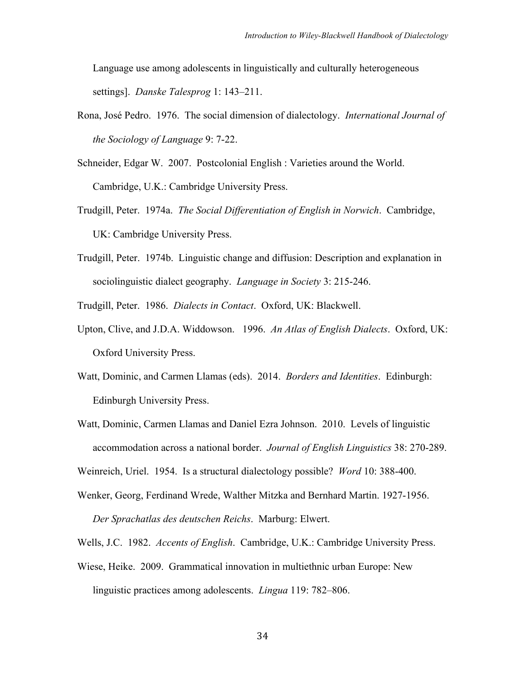Language use among adolescents in linguistically and culturally heterogeneous settings]. *Danske Talesprog* 1: 143–211.

- Rona, José Pedro. 1976. The social dimension of dialectology. *International Journal of the Sociology of Language* 9: 7-22.
- Schneider, Edgar W. 2007. Postcolonial English : Varieties around the World. Cambridge, U.K.: Cambridge University Press.
- Trudgill, Peter. 1974a. *The Social Differentiation of English in Norwich*. Cambridge, UK: Cambridge University Press.
- Trudgill, Peter. 1974b. Linguistic change and diffusion: Description and explanation in sociolinguistic dialect geography. *Language in Society* 3: 215-246.

Trudgill, Peter. 1986. *Dialects in Contact*. Oxford, UK: Blackwell.

- Upton, Clive, and J.D.A. Widdowson. 1996. *An Atlas of English Dialects*. Oxford, UK: Oxford University Press.
- Watt, Dominic, and Carmen Llamas (eds). 2014. *Borders and Identities*. Edinburgh: Edinburgh University Press.
- Watt, Dominic, Carmen Llamas and Daniel Ezra Johnson. 2010. Levels of linguistic accommodation across a national border. *Journal of English Linguistics* 38: 270-289.

Weinreich, Uriel. 1954. Is a structural dialectology possible? *Word* 10: 388-400.

Wenker, Georg, Ferdinand Wrede, Walther Mitzka and Bernhard Martin. 1927-1956. *Der Sprachatlas des deutschen Reichs*. Marburg: Elwert.

Wells, J.C. 1982. *Accents of English*. Cambridge, U.K.: Cambridge University Press.

Wiese, Heike. 2009. Grammatical innovation in multiethnic urban Europe: New linguistic practices among adolescents. *Lingua* 119: 782–806.